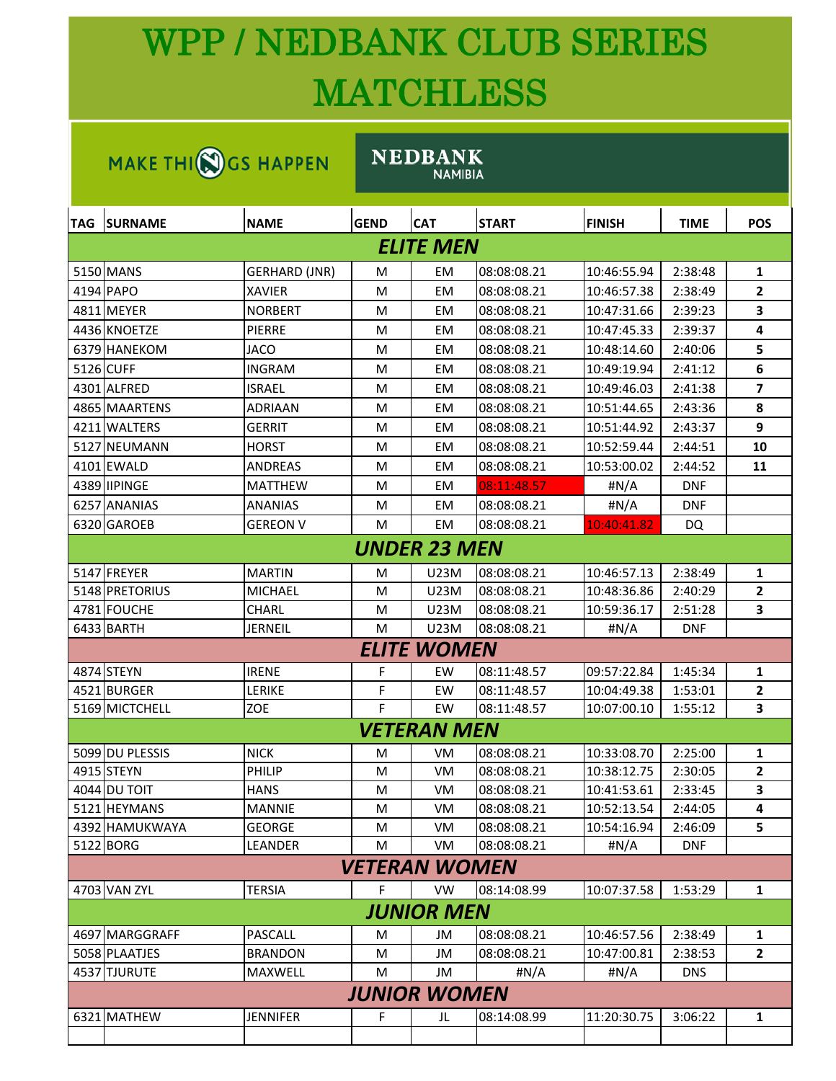## WPP / NEDBANK CLUB SERIES **MATCHLESS**

| MAKE THI(N) GS HAPPEN |                 |                      | <b>NEDBANK</b><br><b>NAMIBIA</b> |                    |              |               |             |                |  |  |
|-----------------------|-----------------|----------------------|----------------------------------|--------------------|--------------|---------------|-------------|----------------|--|--|
| TAG.                  | <b>SURNAME</b>  | <b>NAME</b>          | <b>GEND</b>                      | <b>CAT</b>         | <b>START</b> | <b>FINISH</b> | <b>TIME</b> | <b>POS</b>     |  |  |
| ELITE MEN             |                 |                      |                                  |                    |              |               |             |                |  |  |
|                       | 5150 MANS       | <b>GERHARD (JNR)</b> | м                                | EM                 | 08:08:08.21  | 10:46:55.94   | 2:38:48     | 1              |  |  |
|                       | 4194 PAPO       | <b>XAVIER</b>        | м                                | EM                 | 08:08:08.21  | 10:46:57.38   | 2:38:49     | $\mathbf{2}$   |  |  |
|                       | 4811 MEYER      | <b>NORBERT</b>       | м                                | EM                 | 08:08:08.21  | 10:47:31.66   | 2:39:23     | 3              |  |  |
|                       | 4436 KNOETZE    | PIERRE               | м                                | EM                 | 08:08:08.21  | 10:47:45.33   | 2:39:37     | 4              |  |  |
|                       | 6379 HANEKOM    | JACO                 | м                                | EM                 | 08:08:08.21  | 10:48:14.60   | 2:40:06     | 5              |  |  |
|                       | 5126 CUFF       | <b>INGRAM</b>        | м                                | EM                 | 08:08:08.21  | 10:49:19.94   | 2:41:12     | 6              |  |  |
|                       | 4301 ALFRED     | ISRAEL               | м                                | EM                 | 08:08:08.21  | 10:49:46.03   | 2:41:38     | 7              |  |  |
|                       | 4865 MAARTENS   | <b>ADRIAAN</b>       | м                                | EM                 | 08:08:08.21  | 10:51:44.65   | 2:43:36     | 8              |  |  |
|                       | 4211 WALTERS    | GERRIT               | м                                | EM                 | 08:08:08.21  | 10:51:44.92   | 2:43:37     | 9              |  |  |
|                       | 5127 NEUMANN    | <b>HORST</b>         | м                                | EM                 | 08:08:08.21  | 10:52:59.44   | 2:44:51     | 10             |  |  |
|                       | 4101 EWALD      | <b>ANDREAS</b>       | м                                | EM                 | 08:08:08.21  | 10:53:00.02   | 2:44:52     | 11             |  |  |
|                       | 4389 IIPINGE    | <b>MATTHEW</b>       | м                                | EM                 | 08:11:48.57  | #N/A          | DNF         |                |  |  |
|                       | 6257 ANANIAS    | <b>ANANIAS</b>       | м                                | EM                 | 08:08:08.21  | #N/A          | DNF         |                |  |  |
|                       | 6320 GAROEB     | <b>GEREON V</b>      | м                                | EM                 | 08:08:08.21  | 10:40:41.82   | DQ          |                |  |  |
| UNDER 23 MEN          |                 |                      |                                  |                    |              |               |             |                |  |  |
|                       | 5147 FREYER     | <b>MARTIN</b>        | м                                | U23M               | 08:08:08.21  | 10:46:57.13   | 2:38:49     | 1              |  |  |
|                       | 5148 PRETORIUS  | <b>MICHAEL</b>       | м                                | U23M               | 08:08:08.21  | 10:48:36.86   | 2:40:29     | $\overline{2}$ |  |  |
|                       | 4781 FOUCHE     | <b>CHARL</b>         | м                                | U23M               | 08:08:08.21  | 10:59:36.17   | 2:51:28     | 3              |  |  |
|                       | 6433 BARTH      | <b>JERNEIL</b>       | м                                | <b>U23M</b>        | 08:08:08.21  | #N/A          | <b>DNF</b>  |                |  |  |
|                       |                 |                      |                                  | <b>ELITE WOMEN</b> |              |               |             |                |  |  |
|                       | 4874 STEYN      | <b>IRENE</b>         | F                                | EW                 | 08:11:48.57  | 09:57:22.84   | 1:45:34     | 1              |  |  |
|                       | 4521 BURGER     | <b>LERIKE</b>        | F                                | EW                 | 08:11:48.57  | 10:04:49.38   | 1:53:01     | $\mathbf{2}$   |  |  |
|                       | 5169 MICTCHELL  | <b>ZOE</b>           | F                                | EW                 | 08:11:48.57  | 10:07:00.10   | 1:55:12     | 3              |  |  |
|                       |                 |                      |                                  | <b>VETERAN MEN</b> |              |               |             |                |  |  |
|                       | 5099 DU PLESSIS | <b>NICK</b>          | M                                | VM                 | 08:08:08.21  | 10:33:08.70   | 2:25:00     | 1              |  |  |
|                       | 4915 STEYN      | PHILIP               | M                                | VM                 | 08:08:08.21  | 10:38:12.75   | 2:30:05     | $\overline{2}$ |  |  |
|                       | 4044 DU TOIT    | HANS                 | М                                | VM                 | 08:08:08.21  | 10:41:53.61   | 2:33:45     | 3              |  |  |
|                       | 5121 HEYMANS    | <b>MANNIE</b>        | M                                | VM                 | 08:08:08.21  | 10:52:13.54   | 2:44:05     | 4              |  |  |
|                       | 4392 HAMUKWAYA  | <b>GEORGE</b>        | М                                | VM                 | 08:08:08.21  | 10:54:16.94   | 2:46:09     | 5              |  |  |
|                       | 5122 BORG       | LEANDER              | M                                | VM                 | 08:08:08.21  | #N/A          | <b>DNF</b>  |                |  |  |
|                       | VETERAN WOMEN   |                      |                                  |                    |              |               |             |                |  |  |
|                       | 4703 VAN ZYL    | <b>TERSIA</b>        | F.                               | <b>VW</b>          | 08:14:08.99  | 10:07:37.58   | 1:53:29     | $\mathbf{1}$   |  |  |
|                       |                 |                      |                                  | <b>JUNIOR MEN</b>  |              |               |             |                |  |  |
|                       | 4697 MARGGRAFF  | PASCALL              | M                                | JM                 | 08:08:08.21  | 10:46:57.56   | 2:38:49     | 1              |  |  |
|                       | 5058 PLAATJES   | <b>BRANDON</b>       | М                                | JM                 | 08:08:08.21  | 10:47:00.81   | 2:38:53     | $\mathbf{2}$   |  |  |
|                       | 4537 TJURUTE    | MAXWELL              | M                                | JM                 | #N/A         | #N/A          | <b>DNS</b>  |                |  |  |
| <b>JUNIOR WOMEN</b>   |                 |                      |                                  |                    |              |               |             |                |  |  |
|                       | 6321 MATHEW     | <b>JENNIFER</b>      | F.                               | JL                 | 08:14:08.99  | 11:20:30.75   | 3:06:22     | 1              |  |  |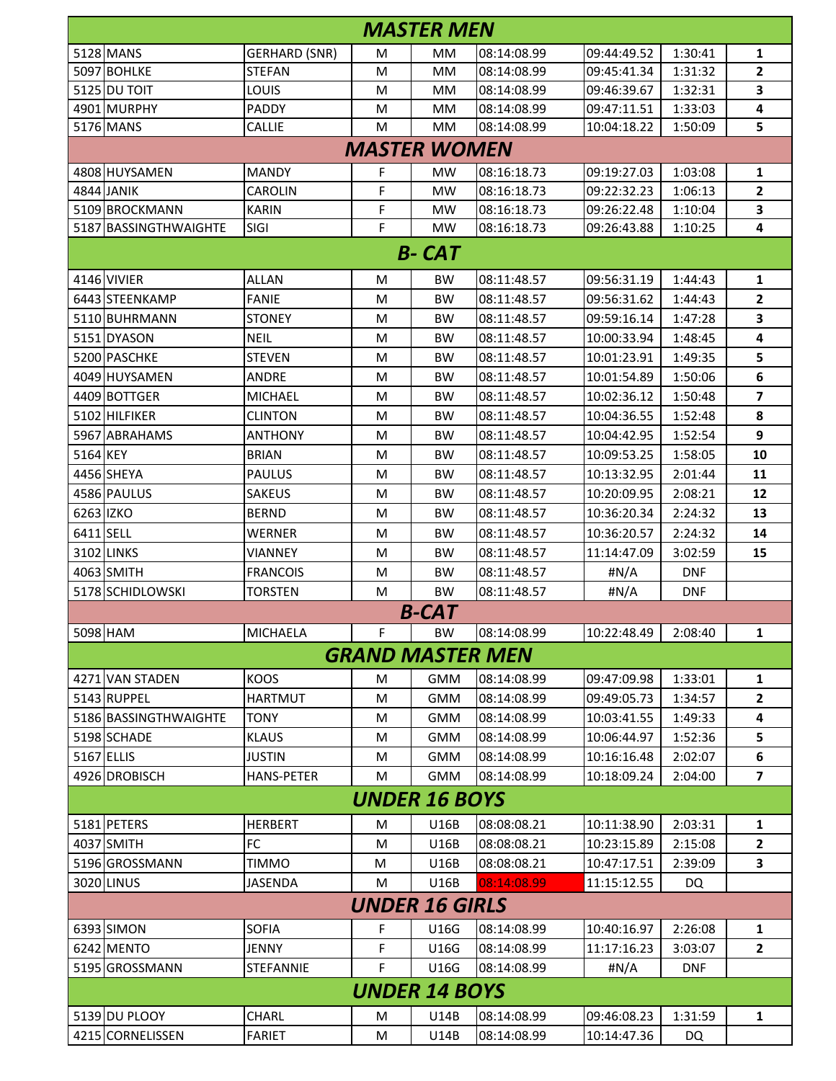| <b>MASTER MEN</b>     |                      |   |                         |             |             |            |                |  |  |  |
|-----------------------|----------------------|---|-------------------------|-------------|-------------|------------|----------------|--|--|--|
| 5128 MANS             | <b>GERHARD (SNR)</b> | м | MМ                      | 08:14:08.99 | 09:44:49.52 | 1:30:41    | 1              |  |  |  |
| 5097 BOHLKE           | <b>STEFAN</b>        | м | MМ                      | 08:14:08.99 | 09:45:41.34 | 1:31:32    | 2              |  |  |  |
| 5125 DU TOIT          | LOUIS                | м | MM                      | 08:14:08.99 | 09:46:39.67 | 1:32:31    | 3              |  |  |  |
| 4901 MURPHY           | PADDY                | M | MM                      | 08:14:08.99 | 09:47:11.51 | 1:33:03    | 4              |  |  |  |
| 5176 MANS             | <b>CALLIE</b>        | M | MM                      | 08:14:08.99 | 10:04:18.22 | 1:50:09    | 5              |  |  |  |
| <b>MASTER WOMEN</b>   |                      |   |                         |             |             |            |                |  |  |  |
| 4808 HUYSAMEN         | <b>MANDY</b>         | F | MW                      | 08:16:18.73 | 09:19:27.03 | 1:03:08    | 1              |  |  |  |
| 4844 JANIK            | <b>CAROLIN</b>       | F | <b>MW</b>               | 08:16:18.73 | 09:22:32.23 | 1:06:13    | $\overline{2}$ |  |  |  |
| 5109 BROCKMANN        | <b>KARIN</b>         | F | <b>MW</b>               | 08:16:18.73 | 09:26:22.48 | 1:10:04    | 3              |  |  |  |
| 5187 BASSINGTHWAIGHTE | SIGI                 | F | <b>MW</b>               | 08:16:18.73 | 09:26:43.88 | 1:10:25    | 4              |  |  |  |
| <b>B-CAT</b>          |                      |   |                         |             |             |            |                |  |  |  |
| 4146 VIVIER           | <b>ALLAN</b>         | M | <b>BW</b>               | 08:11:48.57 | 09:56:31.19 | 1:44:43    | 1              |  |  |  |
| 6443 STEENKAMP        | <b>FANIE</b>         | м | <b>BW</b>               | 08:11:48.57 | 09:56:31.62 | 1:44:43    | $\overline{2}$ |  |  |  |
| 5110 BUHRMANN         | <b>STONEY</b>        | M | <b>BW</b>               | 08:11:48.57 | 09:59:16.14 | 1:47:28    | 3              |  |  |  |
| 5151 DYASON           | <b>NEIL</b>          | м | <b>BW</b>               | 08:11:48.57 | 10:00:33.94 | 1:48:45    | 4              |  |  |  |
| 5200 PASCHKE          | <b>STEVEN</b>        | M | <b>BW</b>               | 08:11:48.57 | 10:01:23.91 | 1:49:35    | 5              |  |  |  |
| 4049 HUYSAMEN         | <b>ANDRE</b>         | M | <b>BW</b>               | 08:11:48.57 | 10:01:54.89 | 1:50:06    | 6              |  |  |  |
| 4409 BOTTGER          | <b>MICHAEL</b>       | M | <b>BW</b>               | 08:11:48.57 | 10:02:36.12 | 1:50:48    | 7              |  |  |  |
| 5102 HILFIKER         | <b>CLINTON</b>       | M | <b>BW</b>               | 08:11:48.57 | 10:04:36.55 | 1:52:48    | 8              |  |  |  |
| 5967 ABRAHAMS         | <b>ANTHONY</b>       | M | <b>BW</b>               | 08:11:48.57 | 10:04:42.95 | 1:52:54    | 9              |  |  |  |
| 5164 KEY              | <b>BRIAN</b>         | M | <b>BW</b>               | 08:11:48.57 | 10:09:53.25 | 1:58:05    | 10             |  |  |  |
| 4456 SHEYA            | <b>PAULUS</b>        | M | <b>BW</b>               | 08:11:48.57 | 10:13:32.95 | 2:01:44    | 11             |  |  |  |
| 4586 PAULUS           | <b>SAKEUS</b>        | м | <b>BW</b>               | 08:11:48.57 | 10:20:09.95 | 2:08:21    | 12             |  |  |  |
| 6263 IZKO             | <b>BERND</b>         | M | <b>BW</b>               | 08:11:48.57 | 10:36:20.34 | 2:24:32    | 13             |  |  |  |
| 6411 SELL             | <b>WERNER</b>        | M | <b>BW</b>               | 08:11:48.57 | 10:36:20.57 | 2:24:32    | 14             |  |  |  |
| 3102 LINKS            | <b>VIANNEY</b>       | м | <b>BW</b>               | 08:11:48.57 | 11:14:47.09 | 3:02:59    | 15             |  |  |  |
| 4063 SMITH            | <b>FRANCOIS</b>      | M | <b>BW</b>               | 08:11:48.57 | #N/A        | <b>DNF</b> |                |  |  |  |
| 5178 SCHIDLOWSKI      | <b>TORSTEN</b>       | м | <b>BW</b>               | 08:11:48.57 | #N/A        | DNF        |                |  |  |  |
|                       |                      |   | <b>B-CAT</b>            |             |             |            |                |  |  |  |
| 5098 HAM              | <b>MICHAELA</b>      | F | <b>BW</b>               | 08:14:08.99 | 10:22:48.49 | 2:08:40    | 1              |  |  |  |
|                       |                      |   | <b>GRAND MASTER MEN</b> |             |             |            |                |  |  |  |
| 4271 VAN STADEN       | <b>KOOS</b>          | М | <b>GMM</b>              | 08:14:08.99 | 09:47:09.98 | 1:33:01    | 1              |  |  |  |
| 5143 RUPPEL           | <b>HARTMUT</b>       | M | <b>GMM</b>              | 08:14:08.99 | 09:49:05.73 | 1:34:57    | 2              |  |  |  |
| 5186 BASSINGTHWAIGHTE | TONY                 | М | <b>GMM</b>              | 08:14:08.99 | 10:03:41.55 | 1:49:33    | 4              |  |  |  |
| 5198 SCHADE           | <b>KLAUS</b>         | M | <b>GMM</b>              | 08:14:08.99 | 10:06:44.97 | 1:52:36    | 5              |  |  |  |
| 5167 ELLIS            | <b>JUSTIN</b>        | М | GMM                     | 08:14:08.99 | 10:16:16.48 | 2:02:07    | 6              |  |  |  |
| 4926 DROBISCH         | <b>HANS-PETER</b>    | М | <b>GMM</b>              | 08:14:08.99 | 10:18:09.24 | 2:04:00    | 7              |  |  |  |
| <b>UNDER 16 BOYS</b>  |                      |   |                         |             |             |            |                |  |  |  |
| 5181 PETERS           | <b>HERBERT</b>       | М | U16B                    | 08:08:08.21 | 10:11:38.90 | 2:03:31    | 1              |  |  |  |
| 4037 SMITH            | FC                   | M | U16B                    | 08:08:08.21 | 10:23:15.89 | 2:15:08    | 2              |  |  |  |
| 5196 GROSSMANN        | <b>TIMMO</b>         | M | U16B                    | 08:08:08.21 | 10:47:17.51 | 2:39:09    | 3              |  |  |  |
| 3020 LINUS            | JASENDA              | M | U16B                    | 08:14:08.99 | 11:15:12.55 | DQ         |                |  |  |  |
| <b>UNDER 16 GIRLS</b> |                      |   |                         |             |             |            |                |  |  |  |
| 6393 SIMON            | <b>SOFIA</b>         | F | U16G                    | 08:14:08.99 | 10:40:16.97 | 2:26:08    | 1              |  |  |  |
| 6242 MENTO            | JENNY                | F | U16G                    | 08:14:08.99 | 11:17:16.23 | 3:03:07    | 2              |  |  |  |
| 5195 GROSSMANN        | <b>STEFANNIE</b>     | F | U16G                    | 08:14:08.99 | #N/A        | <b>DNF</b> |                |  |  |  |
| <b>UNDER 14 BOYS</b>  |                      |   |                         |             |             |            |                |  |  |  |
| 5139 DU PLOOY         | CHARL                | М | U14B                    | 08:14:08.99 | 09:46:08.23 | 1:31:59    | 1              |  |  |  |
| 4215 CORNELISSEN      | <b>FARIET</b>        | M | U14B                    | 08:14:08.99 | 10:14:47.36 | DQ         |                |  |  |  |
|                       |                      |   |                         |             |             |            |                |  |  |  |